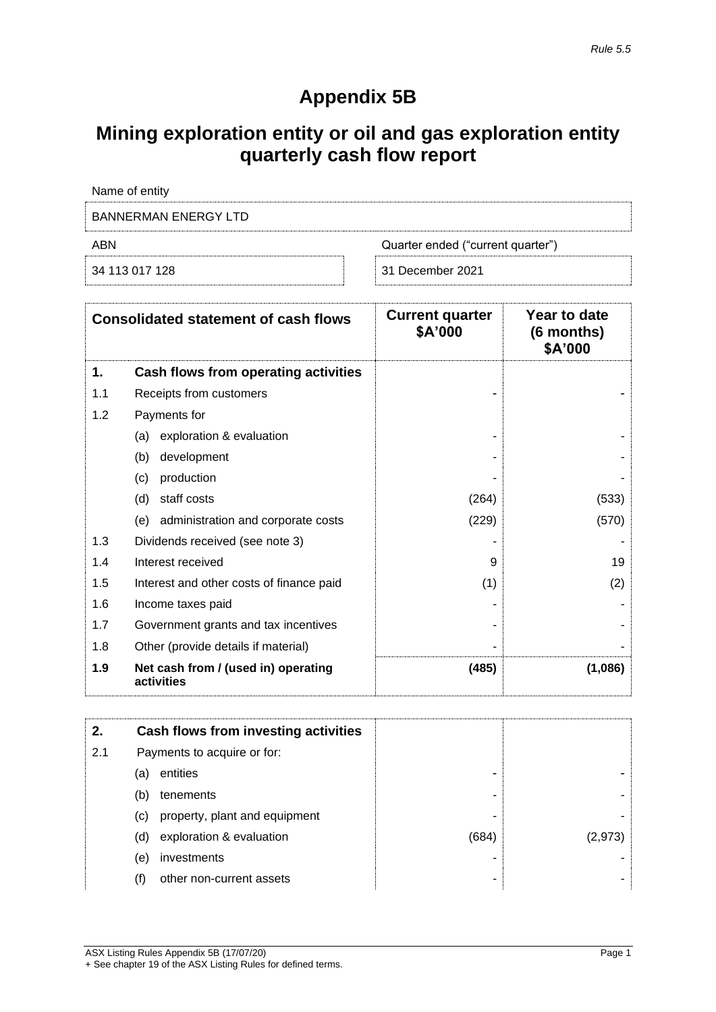## **Appendix 5B**

## **Mining exploration entity or oil and gas exploration entity quarterly cash flow report**

| Name of entity       |                                   |
|----------------------|-----------------------------------|
| BANNERMAN ENERGY LTD |                                   |
| ARN                  | Quarter ended ("current quarter") |
| 34 113 017 128       | 31 December 2021                  |

|     | <b>Consolidated statement of cash flows</b>       | <b>Current quarter</b><br>\$A'000 | Year to date<br>(6 months)<br>\$A'000 |
|-----|---------------------------------------------------|-----------------------------------|---------------------------------------|
| 1.  | Cash flows from operating activities              |                                   |                                       |
| 1.1 | Receipts from customers                           |                                   |                                       |
| 1.2 | Payments for                                      |                                   |                                       |
|     | exploration & evaluation<br>(a)                   |                                   |                                       |
|     | (b)<br>development                                |                                   |                                       |
|     | production<br>(c)                                 |                                   |                                       |
|     | staff costs<br>(d)                                | (264)                             | (533)                                 |
|     | administration and corporate costs<br>(e)         | (229)                             | (570)                                 |
| 1.3 | Dividends received (see note 3)                   |                                   |                                       |
| 1.4 | Interest received                                 | 9                                 | 19                                    |
| 1.5 | Interest and other costs of finance paid          | (1)                               | (2)                                   |
| 1.6 | Income taxes paid                                 |                                   |                                       |
| 1.7 | Government grants and tax incentives              |                                   |                                       |
| 1.8 | Other (provide details if material)               |                                   |                                       |
| 1.9 | Net cash from / (used in) operating<br>activities | (485)                             | (1,086)                               |

| 2.  |     | Cash flows from investing activities |       |         |
|-----|-----|--------------------------------------|-------|---------|
| 2.1 |     | Payments to acquire or for:          |       |         |
|     | (a) | entities                             | -     |         |
|     | (b) | tenements                            | ۰     |         |
|     | (C) | property, plant and equipment        | -     |         |
|     | (d) | exploration & evaluation             | (684) | (2,9/3) |
|     | (e) | investments                          |       |         |
|     |     | other non-current assets             | -     |         |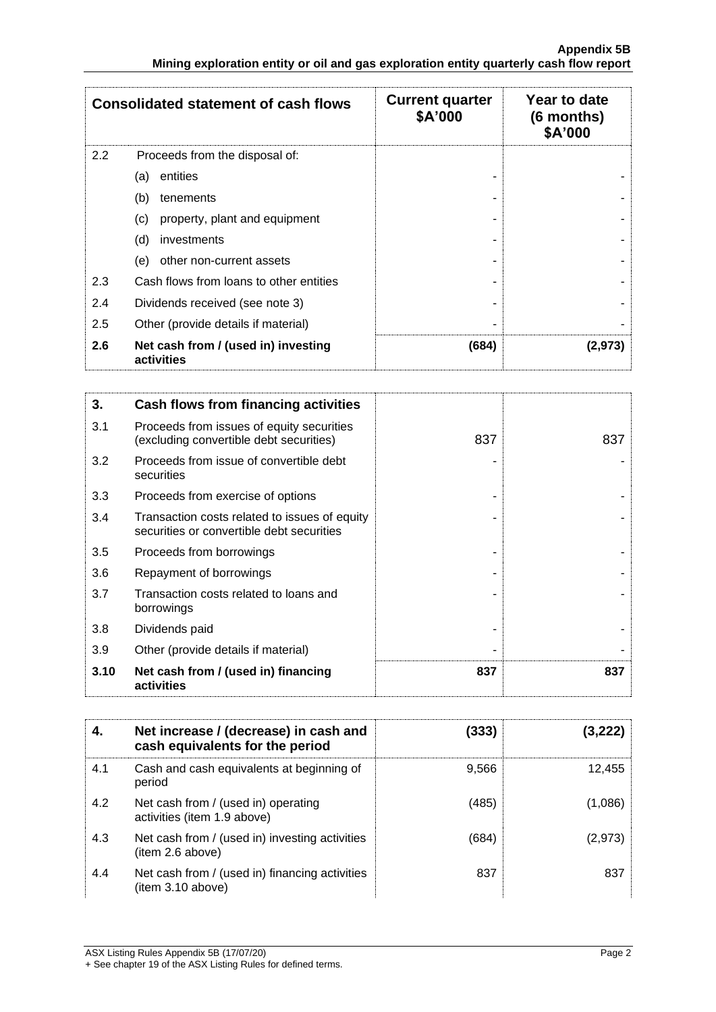|     | <b>Consolidated statement of cash flows</b>       | <b>Current quarter</b><br>\$A'000 | Year to date<br>$(6$ months)<br>\$A'000 |
|-----|---------------------------------------------------|-----------------------------------|-----------------------------------------|
| 2.2 | Proceeds from the disposal of:                    |                                   |                                         |
|     | entities<br>(a)                                   |                                   |                                         |
|     | (b)<br>tenements                                  |                                   |                                         |
|     | (c)<br>property, plant and equipment              |                                   |                                         |
|     | (d)<br>investments                                |                                   |                                         |
|     | other non-current assets<br>(e)                   |                                   |                                         |
| 2.3 | Cash flows from loans to other entities           |                                   |                                         |
| 2.4 | Dividends received (see note 3)                   |                                   |                                         |
| 2.5 | Other (provide details if material)               |                                   |                                         |
| 2.6 | Net cash from / (used in) investing<br>activities | (684)                             | (2,973)                                 |

| 3.   | Cash flows from financing activities                                                       |     |     |
|------|--------------------------------------------------------------------------------------------|-----|-----|
| 3.1  | Proceeds from issues of equity securities<br>(excluding convertible debt securities)       | 837 | 837 |
| 3.2  | Proceeds from issue of convertible debt<br>securities                                      |     |     |
| 3.3  | Proceeds from exercise of options                                                          |     |     |
| 3.4  | Transaction costs related to issues of equity<br>securities or convertible debt securities |     |     |
| 3.5  | Proceeds from borrowings                                                                   |     |     |
| 3.6  | Repayment of borrowings                                                                    |     |     |
| 3.7  | Transaction costs related to loans and<br>borrowings                                       |     |     |
| 3.8  | Dividends paid                                                                             |     |     |
| 3.9  | Other (provide details if material)                                                        |     |     |
| 3.10 | Net cash from / (used in) financing<br>activities                                          | 837 | 837 |

| 4.  | Net increase / (decrease) in cash and<br>cash equivalents for the period | (333) | (3,222) |
|-----|--------------------------------------------------------------------------|-------|---------|
| 4.1 | Cash and cash equivalents at beginning of<br>period                      | 9,566 | 12.455  |
| 4.2 | Net cash from / (used in) operating<br>activities (item 1.9 above)       | (485) | (1,086) |
| 4.3 | Net cash from / (used in) investing activities<br>(item 2.6 above)       | (684) | (2,973) |
| 4.4 | Net cash from / (used in) financing activities<br>item 3.10 above)       | 837   | 837     |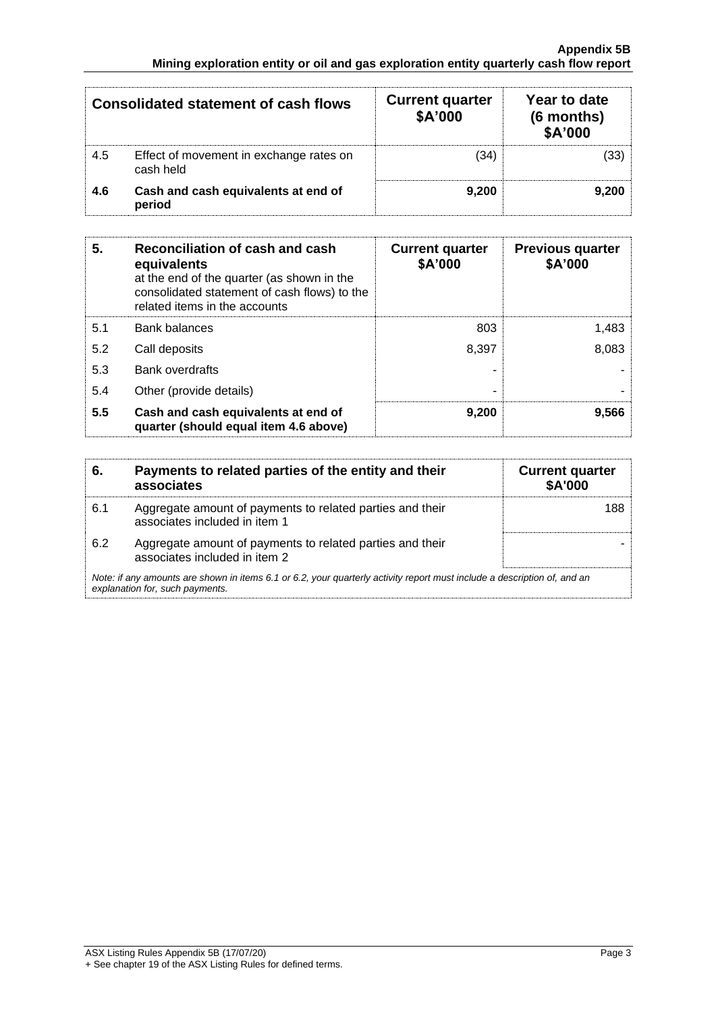|     | Consolidated statement of cash flows                 | <b>Current quarter</b><br>\$A'000 | Year to date<br>(6 months)<br>\$A'000 |
|-----|------------------------------------------------------|-----------------------------------|---------------------------------------|
| 4.5 | Effect of movement in exchange rates on<br>cash held | (34)                              | (33)                                  |
| 4.6 | Cash and cash equivalents at end of<br>period        | 9.200                             | 9.200                                 |

| 5.  | Reconciliation of cash and cash<br>equivalents<br>at the end of the quarter (as shown in the<br>consolidated statement of cash flows) to the<br>related items in the accounts | <b>Current quarter</b><br>\$A'000 | <b>Previous quarter</b><br>\$A'000 |
|-----|-------------------------------------------------------------------------------------------------------------------------------------------------------------------------------|-----------------------------------|------------------------------------|
| 5.1 | <b>Bank balances</b>                                                                                                                                                          | 803                               | 1,483                              |
| 5.2 | Call deposits                                                                                                                                                                 | 8.397                             | 8,083                              |
| 5.3 | <b>Bank overdrafts</b>                                                                                                                                                        |                                   |                                    |
| 5.4 | Other (provide details)                                                                                                                                                       | -                                 |                                    |
| 5.5 | Cash and cash equivalents at end of<br>quarter (should equal item 4.6 above)                                                                                                  | 9,200                             | 9,566                              |

| 6.  | Payments to related parties of the entity and their<br>associates                                                                                           | <b>Current quarter</b><br><b>\$A'000</b> |
|-----|-------------------------------------------------------------------------------------------------------------------------------------------------------------|------------------------------------------|
| 6.1 | Aggregate amount of payments to related parties and their<br>associates included in item 1                                                                  | 188                                      |
| 6.2 | Aggregate amount of payments to related parties and their<br>associates included in item 2                                                                  |                                          |
|     | Note: if any amounts are shown in items 6.1 or 6.2, your quarterly activity report must include a description of, and an<br>explanation for, such payments. |                                          |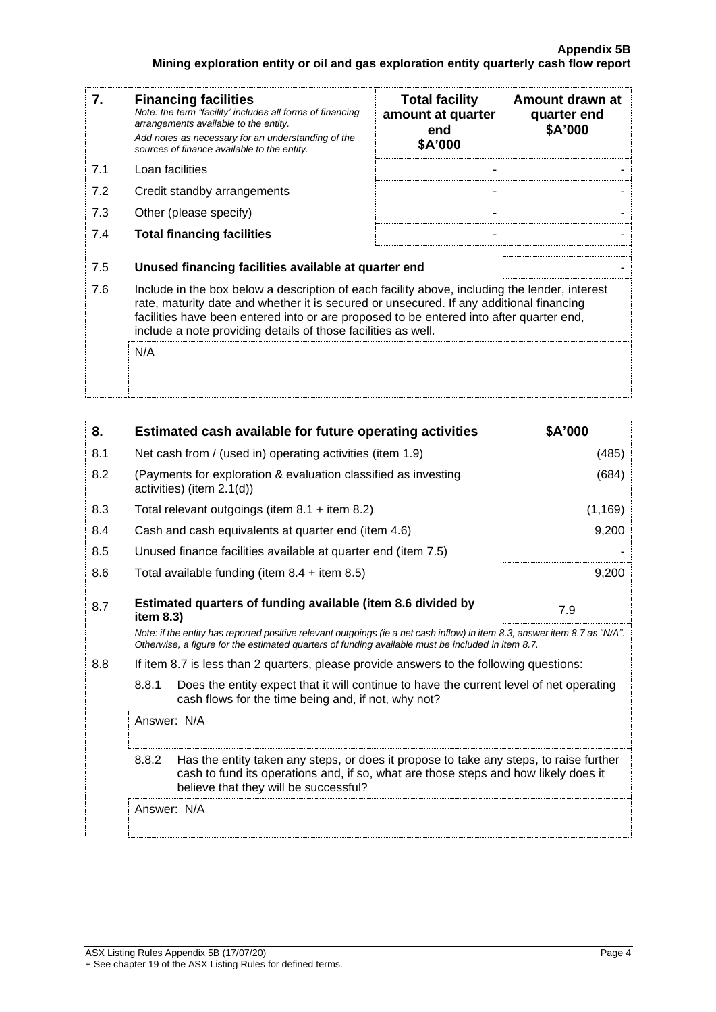| 7.  | <b>Financing facilities</b><br>Note: the term "facility' includes all forms of financing<br>arrangements available to the entity.<br>Add notes as necessary for an understanding of the<br>sources of finance available to the entity.                                                                                                               | <b>Total facility</b><br>amount at quarter<br>end<br>\$A'000 | Amount drawn at<br>quarter end<br>\$A'000 |
|-----|------------------------------------------------------------------------------------------------------------------------------------------------------------------------------------------------------------------------------------------------------------------------------------------------------------------------------------------------------|--------------------------------------------------------------|-------------------------------------------|
| 7.1 | Loan facilities                                                                                                                                                                                                                                                                                                                                      |                                                              |                                           |
| 7.2 | Credit standby arrangements                                                                                                                                                                                                                                                                                                                          |                                                              |                                           |
| 7.3 | Other (please specify)                                                                                                                                                                                                                                                                                                                               |                                                              |                                           |
| 7.4 | <b>Total financing facilities</b>                                                                                                                                                                                                                                                                                                                    | -                                                            |                                           |
| 7.5 | Unused financing facilities available at quarter end                                                                                                                                                                                                                                                                                                 |                                                              |                                           |
| 7.6 | Include in the box below a description of each facility above, including the lender, interest<br>rate, maturity date and whether it is secured or unsecured. If any additional financing<br>facilities have been entered into or are proposed to be entered into after quarter end,<br>include a note providing details of those facilities as well. |                                                              |                                           |
|     | N/A                                                                                                                                                                                                                                                                                                                                                  |                                                              |                                           |

| 8.  | Estimated cash available for future operating activities                                                                                                                                                                        | \$A'000  |
|-----|---------------------------------------------------------------------------------------------------------------------------------------------------------------------------------------------------------------------------------|----------|
| 8.1 | Net cash from / (used in) operating activities (item 1.9)                                                                                                                                                                       | (485)    |
| 8.2 | (Payments for exploration & evaluation classified as investing<br>activities) (item 2.1(d))                                                                                                                                     | (684)    |
| 8.3 | Total relevant outgoings (item $8.1 +$ item $8.2$ )                                                                                                                                                                             | (1, 169) |
| 8.4 | Cash and cash equivalents at quarter end (item 4.6)                                                                                                                                                                             | 9,200    |
| 8.5 | Unused finance facilities available at quarter end (item 7.5)                                                                                                                                                                   |          |
| 8.6 | Total available funding (item $8.4 +$ item $8.5$ )                                                                                                                                                                              | 9,200    |
| 8.7 | Estimated quarters of funding available (item 8.6 divided by<br>item $8.3$ )                                                                                                                                                    | 7.9      |
|     | Note: if the entity has reported positive relevant outgoings (ie a net cash inflow) in item 8.3, answer item 8.7 as "N/A".<br>Otherwise, a figure for the estimated quarters of funding available must be included in item 8.7. |          |
| 8.8 | If item 8.7 is less than 2 quarters, please provide answers to the following questions:                                                                                                                                         |          |
|     | 8.8.1<br>Does the entity expect that it will continue to have the current level of net operating<br>cash flows for the time being and, if not, why not?                                                                         |          |
|     | Answer: N/A                                                                                                                                                                                                                     |          |
|     | 8.8.2<br>Has the entity taken any steps, or does it propose to take any steps, to raise further<br>cash to fund its operations and, if so, what are those steps and how likely does it<br>believe that they will be successful? |          |
|     | Answer: N/A                                                                                                                                                                                                                     |          |
|     |                                                                                                                                                                                                                                 |          |